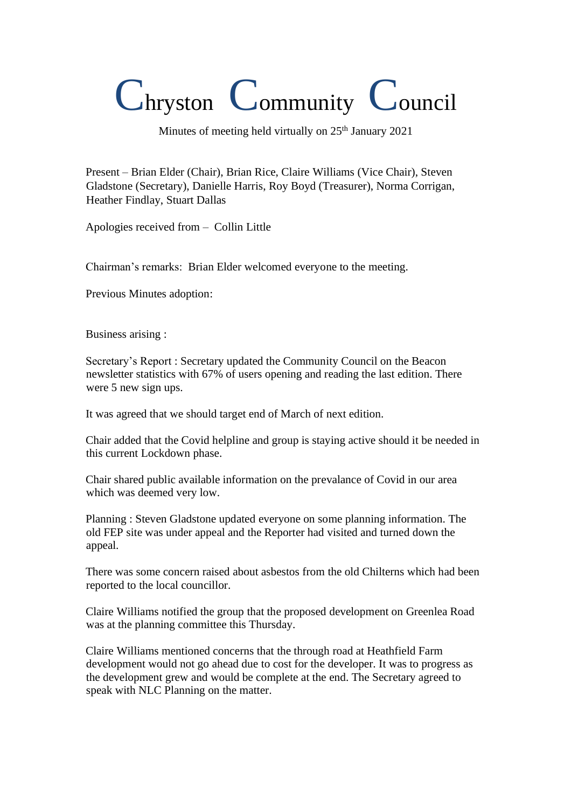## Chryston Community Council

Minutes of meeting held virtually on 25<sup>th</sup> January 2021

Present – Brian Elder (Chair), Brian Rice, Claire Williams (Vice Chair), Steven Gladstone (Secretary), Danielle Harris, Roy Boyd (Treasurer), Norma Corrigan, Heather Findlay, Stuart Dallas

Apologies received from – Collin Little

Chairman's remarks: Brian Elder welcomed everyone to the meeting.

Previous Minutes adoption:

Business arising :

Secretary's Report : Secretary updated the Community Council on the Beacon newsletter statistics with 67% of users opening and reading the last edition. There were 5 new sign ups.

It was agreed that we should target end of March of next edition.

Chair added that the Covid helpline and group is staying active should it be needed in this current Lockdown phase.

Chair shared public available information on the prevalance of Covid in our area which was deemed very low.

Planning : Steven Gladstone updated everyone on some planning information. The old FEP site was under appeal and the Reporter had visited and turned down the appeal.

There was some concern raised about asbestos from the old Chilterns which had been reported to the local councillor.

Claire Williams notified the group that the proposed development on Greenlea Road was at the planning committee this Thursday.

Claire Williams mentioned concerns that the through road at Heathfield Farm development would not go ahead due to cost for the developer. It was to progress as the development grew and would be complete at the end. The Secretary agreed to speak with NLC Planning on the matter.